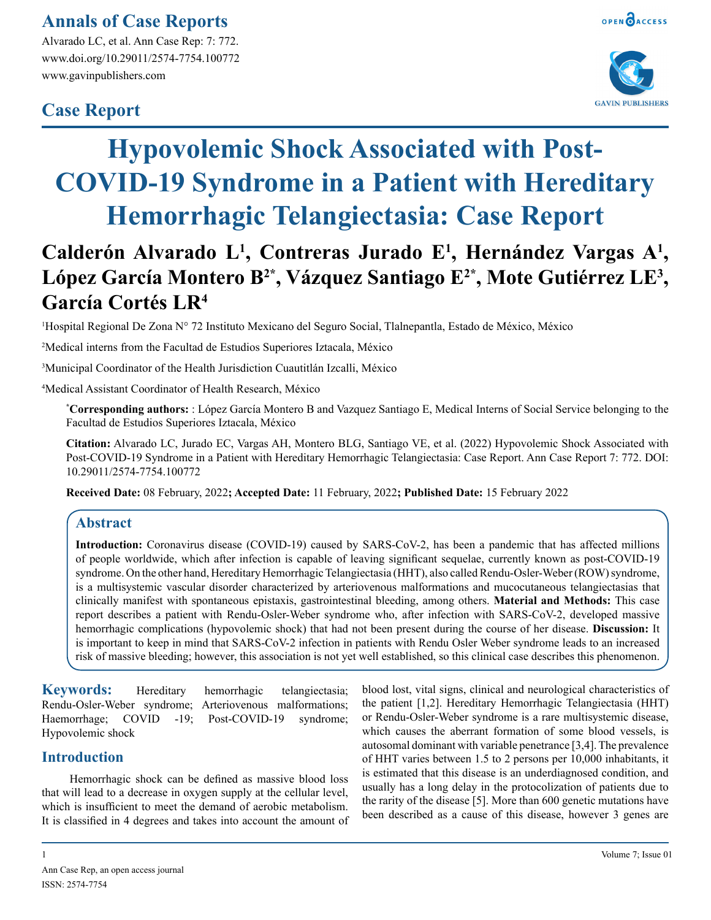### **Annals of Case Reports**

Alvarado LC, et al. Ann Case Rep: 7: 772. www.doi.org/10.29011/2574-7754.100772 www.gavinpublishers.com

## **Case Report**





# **Hypovolemic Shock Associated with Post-COVID-19 Syndrome in a Patient with Hereditary Hemorrhagic Telangiectasia: Case Report**

## Calderón Alvarado L<sup>1</sup>, Contreras Jurado E<sup>1</sup>, Hernández Vargas A<sup>1</sup>, López García Montero B<sup>2\*</sup>, Vázquez Santiago E<sup>2\*</sup>, Mote Gutiérrez LE<sup>3</sup>, **García Cortés LR4**

1 Hospital Regional De Zona N° 72 Instituto Mexicano del Seguro Social, Tlalnepantla, Estado de México, México

2 Medical interns from the Facultad de Estudios Superiores Iztacala, México

3 Municipal Coordinator of the Health Jurisdiction Cuautitlán Izcalli, México

4 Medical Assistant Coordinator of Health Research, México

**\* Corresponding authors:** : López García Montero B and Vazquez Santiago E, Medical Interns of Social Service belonging to the Facultad de Estudios Superiores Iztacala, México

**Citation:** Alvarado LC, Jurado EC, Vargas AH, Montero BLG, Santiago VE, et al. (2022) Hypovolemic Shock Associated with Post-COVID-19 Syndrome in a Patient with Hereditary Hemorrhagic Telangiectasia: Case Report. Ann Case Report 7: 772. DOI: 10.29011/2574-7754.100772

**Received Date:** 08 February, 2022**; Accepted Date:** 11 February, 2022**; Published Date:** 15 February 2022

#### **Abstract**

**Introduction:** Coronavirus disease (COVID-19) caused by SARS-CoV-2, has been a pandemic that has affected millions of people worldwide, which after infection is capable of leaving significant sequelae, currently known as post-COVID-19 syndrome. On the other hand, Hereditary Hemorrhagic Telangiectasia (HHT), also called Rendu-Osler-Weber (ROW) syndrome, is a multisystemic vascular disorder characterized by arteriovenous malformations and mucocutaneous telangiectasias that clinically manifest with spontaneous epistaxis, gastrointestinal bleeding, among others. **Material and Methods:** This case report describes a patient with Rendu-Osler-Weber syndrome who, after infection with SARS-CoV-2, developed massive hemorrhagic complications (hypovolemic shock) that had not been present during the course of her disease. **Discussion:** It is important to keep in mind that SARS-CoV-2 infection in patients with Rendu Osler Weber syndrome leads to an increased risk of massive bleeding; however, this association is not yet well established, so this clinical case describes this phenomenon.

**Keywords:** Hereditary hemorrhagic telangiectasia; Rendu-Osler-Weber syndrome; Arteriovenous malformations; Haemorrhage; COVID -19; Post-COVID-19 syndrome; Hypovolemic shock

#### **Introduction**

Hemorrhagic shock can be defined as massive blood loss that will lead to a decrease in oxygen supply at the cellular level, which is insufficient to meet the demand of aerobic metabolism. It is classified in 4 degrees and takes into account the amount of blood lost, vital signs, clinical and neurological characteristics of the patient [1,2]. Hereditary Hemorrhagic Telangiectasia (HHT) or Rendu-Osler-Weber syndrome is a rare multisystemic disease, which causes the aberrant formation of some blood vessels, is autosomal dominant with variable penetrance [3,4]. The prevalence of HHT varies between 1.5 to 2 persons per 10,000 inhabitants, it is estimated that this disease is an underdiagnosed condition, and usually has a long delay in the protocolization of patients due to the rarity of the disease [5]. More than 600 genetic mutations have been described as a cause of this disease, however 3 genes are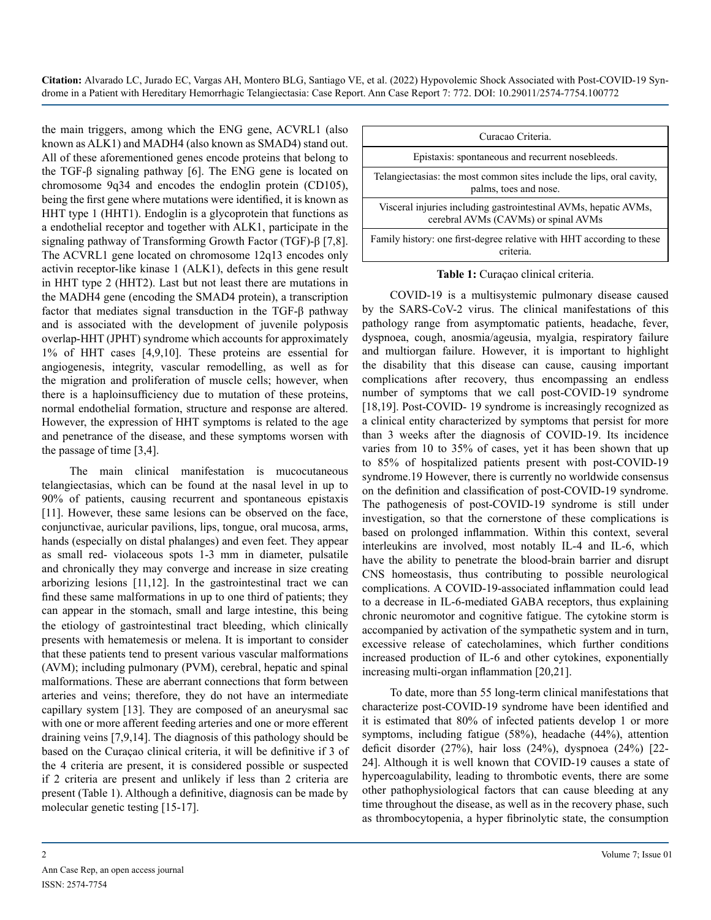**Citation:** Alvarado LC, Jurado EC, Vargas AH, Montero BLG, Santiago VE, et al. (2022) Hypovolemic Shock Associated with Post-COVID-19 Syndrome in a Patient with Hereditary Hemorrhagic Telangiectasia: Case Report. Ann Case Report 7: 772. DOI: 10.29011/2574-7754.100772

the main triggers, among which the ENG gene, ACVRL1 (also known as ALK1) and MADH4 (also known as SMAD4) stand out. All of these aforementioned genes encode proteins that belong to the TGF-β signaling pathway [6]. The ENG gene is located on chromosome 9q34 and encodes the endoglin protein (CD105), being the first gene where mutations were identified, it is known as HHT type 1 (HHT1). Endoglin is a glycoprotein that functions as a endothelial receptor and together with ALK1, participate in the signaling pathway of Transforming Growth Factor (TGF)-β [7,8]. The ACVRL1 gene located on chromosome 12q13 encodes only activin receptor-like kinase 1 (ALK1), defects in this gene result in HHT type 2 (HHT2). Last but not least there are mutations in the MADH4 gene (encoding the SMAD4 protein), a transcription factor that mediates signal transduction in the TGF-β pathway and is associated with the development of juvenile polyposis overlap-HHT (JPHT) syndrome which accounts for approximately 1% of HHT cases [4,9,10]. These proteins are essential for angiogenesis, integrity, vascular remodelling, as well as for the migration and proliferation of muscle cells; however, when there is a haploinsufficiency due to mutation of these proteins, normal endothelial formation, structure and response are altered. However, the expression of HHT symptoms is related to the age and penetrance of the disease, and these symptoms worsen with the passage of time [3,4].

The main clinical manifestation is mucocutaneous telangiectasias, which can be found at the nasal level in up to 90% of patients, causing recurrent and spontaneous epistaxis [11]. However, these same lesions can be observed on the face, conjunctivae, auricular pavilions, lips, tongue, oral mucosa, arms, hands (especially on distal phalanges) and even feet. They appear as small red- violaceous spots 1-3 mm in diameter, pulsatile and chronically they may converge and increase in size creating arborizing lesions [11,12]. In the gastrointestinal tract we can find these same malformations in up to one third of patients; they can appear in the stomach, small and large intestine, this being the etiology of gastrointestinal tract bleeding, which clinically presents with hematemesis or melena. It is important to consider that these patients tend to present various vascular malformations (AVM); including pulmonary (PVM), cerebral, hepatic and spinal malformations. These are aberrant connections that form between arteries and veins; therefore, they do not have an intermediate capillary system [13]. They are composed of an aneurysmal sac with one or more afferent feeding arteries and one or more efferent draining veins [7,9,14]. The diagnosis of this pathology should be based on the Curaçao clinical criteria, it will be definitive if 3 of the 4 criteria are present, it is considered possible or suspected if 2 criteria are present and unlikely if less than 2 criteria are present (Table 1). Although a definitive, diagnosis can be made by molecular genetic testing [15-17].



**Table 1:** Curaçao clinical criteria.

COVID-19 is a multisystemic pulmonary disease caused by the SARS-CoV-2 virus. The clinical manifestations of this pathology range from asymptomatic patients, headache, fever, dyspnoea, cough, anosmia/ageusia, myalgia, respiratory failure and multiorgan failure. However, it is important to highlight the disability that this disease can cause, causing important complications after recovery, thus encompassing an endless number of symptoms that we call post-COVID-19 syndrome [18,19]. Post-COVID-19 syndrome is increasingly recognized as a clinical entity characterized by symptoms that persist for more than 3 weeks after the diagnosis of COVID-19. Its incidence varies from 10 to 35% of cases, yet it has been shown that up to 85% of hospitalized patients present with post-COVID-19 syndrome.19 However, there is currently no worldwide consensus on the definition and classification of post-COVID-19 syndrome. The pathogenesis of post-COVID-19 syndrome is still under investigation, so that the cornerstone of these complications is based on prolonged inflammation. Within this context, several interleukins are involved, most notably IL-4 and IL-6, which have the ability to penetrate the blood-brain barrier and disrupt CNS homeostasis, thus contributing to possible neurological complications. A COVID-19-associated inflammation could lead to a decrease in IL-6-mediated GABA receptors, thus explaining chronic neuromotor and cognitive fatigue. The cytokine storm is accompanied by activation of the sympathetic system and in turn, excessive release of catecholamines, which further conditions increased production of IL-6 and other cytokines, exponentially increasing multi-organ inflammation [20,21].

To date, more than 55 long-term clinical manifestations that characterize post-COVID-19 syndrome have been identified and it is estimated that 80% of infected patients develop 1 or more symptoms, including fatigue (58%), headache (44%), attention deficit disorder (27%), hair loss (24%), dyspnoea (24%) [22- 24]. Although it is well known that COVID-19 causes a state of hypercoagulability, leading to thrombotic events, there are some other pathophysiological factors that can cause bleeding at any time throughout the disease, as well as in the recovery phase, such as thrombocytopenia, a hyper fibrinolytic state, the consumption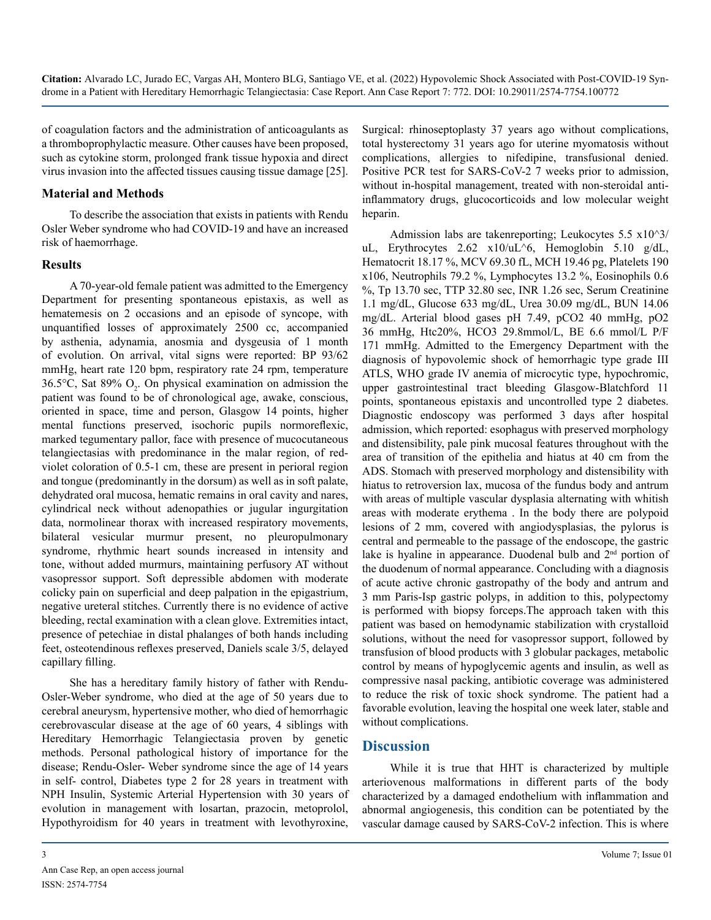of coagulation factors and the administration of anticoagulants as a thromboprophylactic measure. Other causes have been proposed, such as cytokine storm, prolonged frank tissue hypoxia and direct virus invasion into the affected tissues causing tissue damage [25].

#### **Material and Methods**

To describe the association that exists in patients with Rendu Osler Weber syndrome who had COVID-19 and have an increased risk of haemorrhage.

#### **Results**

A 70-year-old female patient was admitted to the Emergency Department for presenting spontaneous epistaxis, as well as hematemesis on 2 occasions and an episode of syncope, with unquantified losses of approximately 2500 cc, accompanied by asthenia, adynamia, anosmia and dysgeusia of 1 month of evolution. On arrival, vital signs were reported: BP 93/62 mmHg, heart rate 120 bpm, respiratory rate 24 rpm, temperature 36.5 $\degree$ C, Sat 89% O<sub>2</sub>. On physical examination on admission the patient was found to be of chronological age, awake, conscious, oriented in space, time and person, Glasgow 14 points, higher mental functions preserved, isochoric pupils normoreflexic, marked tegumentary pallor, face with presence of mucocutaneous telangiectasias with predominance in the malar region, of redviolet coloration of 0.5-1 cm, these are present in perioral region and tongue (predominantly in the dorsum) as well as in soft palate, dehydrated oral mucosa, hematic remains in oral cavity and nares, cylindrical neck without adenopathies or jugular ingurgitation data, normolinear thorax with increased respiratory movements, bilateral vesicular murmur present, no pleuropulmonary syndrome, rhythmic heart sounds increased in intensity and tone, without added murmurs, maintaining perfusory AT without vasopressor support. Soft depressible abdomen with moderate colicky pain on superficial and deep palpation in the epigastrium, negative ureteral stitches. Currently there is no evidence of active bleeding, rectal examination with a clean glove. Extremities intact, presence of petechiae in distal phalanges of both hands including feet, osteotendinous reflexes preserved, Daniels scale 3/5, delayed capillary filling.

She has a hereditary family history of father with Rendu-Osler-Weber syndrome, who died at the age of 50 years due to cerebral aneurysm, hypertensive mother, who died of hemorrhagic cerebrovascular disease at the age of 60 years, 4 siblings with Hereditary Hemorrhagic Telangiectasia proven by genetic methods. Personal pathological history of importance for the disease; Rendu-Osler- Weber syndrome since the age of 14 years in self- control, Diabetes type 2 for 28 years in treatment with NPH Insulin, Systemic Arterial Hypertension with 30 years of evolution in management with losartan, prazocin, metoprolol, Hypothyroidism for 40 years in treatment with levothyroxine,

Surgical: rhinoseptoplasty 37 years ago without complications, total hysterectomy 31 years ago for uterine myomatosis without complications, allergies to nifedipine, transfusional denied. Positive PCR test for SARS-CoV-2 7 weeks prior to admission, without in-hospital management, treated with non-steroidal antiinflammatory drugs, glucocorticoids and low molecular weight heparin.

Admission labs are takenreporting; Leukocytes 5.5 x10^3/ uL, Erythrocytes 2.62 x10/uL^6, Hemoglobin 5.10 g/dL, Hematocrit 18.17 %, MCV 69.30 fL, MCH 19.46 pg, Platelets 190 x106, Neutrophils 79.2 %, Lymphocytes 13.2 %, Eosinophils 0.6 %, Tp 13.70 sec, TTP 32.80 sec, INR 1.26 sec, Serum Creatinine 1.1 mg/dL, Glucose 633 mg/dL, Urea 30.09 mg/dL, BUN 14.06 mg/dL. Arterial blood gases pH 7.49, pCO2 40 mmHg, pO2 36 mmHg, Htc20%, HCO3 29.8mmol/L, BE 6.6 mmol/L P/F 171 mmHg. Admitted to the Emergency Department with the diagnosis of hypovolemic shock of hemorrhagic type grade III ATLS, WHO grade IV anemia of microcytic type, hypochromic, upper gastrointestinal tract bleeding Glasgow-Blatchford 11 points, spontaneous epistaxis and uncontrolled type 2 diabetes. Diagnostic endoscopy was performed 3 days after hospital admission, which reported: esophagus with preserved morphology and distensibility, pale pink mucosal features throughout with the area of transition of the epithelia and hiatus at 40 cm from the ADS. Stomach with preserved morphology and distensibility with hiatus to retroversion lax, mucosa of the fundus body and antrum with areas of multiple vascular dysplasia alternating with whitish areas with moderate erythema . In the body there are polypoid lesions of 2 mm, covered with angiodysplasias, the pylorus is central and permeable to the passage of the endoscope, the gastric lake is hyaline in appearance. Duodenal bulb and 2<sup>nd</sup> portion of the duodenum of normal appearance. Concluding with a diagnosis of acute active chronic gastropathy of the body and antrum and 3 mm Paris-Isp gastric polyps, in addition to this, polypectomy is performed with biopsy forceps.The approach taken with this patient was based on hemodynamic stabilization with crystalloid solutions, without the need for vasopressor support, followed by transfusion of blood products with 3 globular packages, metabolic control by means of hypoglycemic agents and insulin, as well as compressive nasal packing, antibiotic coverage was administered to reduce the risk of toxic shock syndrome. The patient had a favorable evolution, leaving the hospital one week later, stable and without complications.

#### **Discussion**

While it is true that HHT is characterized by multiple arteriovenous malformations in different parts of the body characterized by a damaged endothelium with inflammation and abnormal angiogenesis, this condition can be potentiated by the vascular damage caused by SARS-CoV-2 infection. This is where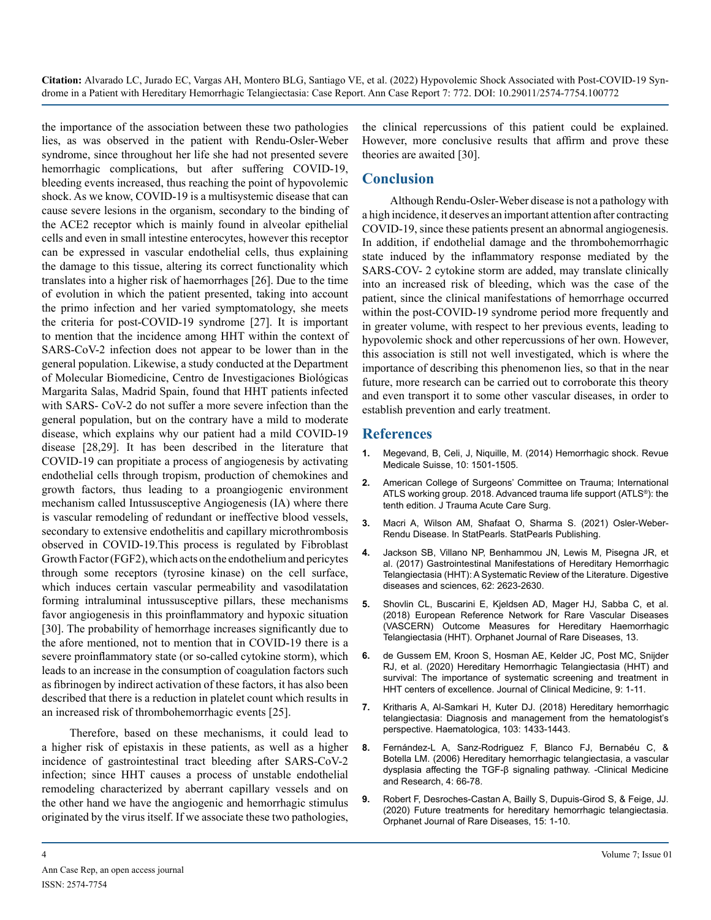**Citation:** Alvarado LC, Jurado EC, Vargas AH, Montero BLG, Santiago VE, et al. (2022) Hypovolemic Shock Associated with Post-COVID-19 Syndrome in a Patient with Hereditary Hemorrhagic Telangiectasia: Case Report. Ann Case Report 7: 772. DOI: 10.29011/2574-7754.100772

the importance of the association between these two pathologies lies, as was observed in the patient with Rendu-Osler-Weber syndrome, since throughout her life she had not presented severe hemorrhagic complications, but after suffering COVID-19, bleeding events increased, thus reaching the point of hypovolemic shock. As we know, COVID-19 is a multisystemic disease that can cause severe lesions in the organism, secondary to the binding of the ACE2 receptor which is mainly found in alveolar epithelial cells and even in small intestine enterocytes, however this receptor can be expressed in vascular endothelial cells, thus explaining the damage to this tissue, altering its correct functionality which translates into a higher risk of haemorrhages [26]. Due to the time of evolution in which the patient presented, taking into account the primo infection and her varied symptomatology, she meets the criteria for post-COVID-19 syndrome [27]. It is important to mention that the incidence among HHT within the context of SARS-CoV-2 infection does not appear to be lower than in the general population. Likewise, a study conducted at the Department of Molecular Biomedicine, Centro de Investigaciones Biológicas Margarita Salas, Madrid Spain, found that HHT patients infected with SARS- CoV-2 do not suffer a more severe infection than the general population, but on the contrary have a mild to moderate disease, which explains why our patient had a mild COVID-19 disease [28,29]. It has been described in the literature that COVID-19 can propitiate a process of angiogenesis by activating endothelial cells through tropism, production of chemokines and growth factors, thus leading to a proangiogenic environment mechanism called Intussusceptive Angiogenesis (IA) where there is vascular remodeling of redundant or ineffective blood vessels, secondary to extensive endothelitis and capillary microthrombosis observed in COVID-19.This process is regulated by Fibroblast Growth Factor (FGF2), which acts on the endothelium and pericytes through some receptors (tyrosine kinase) on the cell surface, which induces certain vascular permeability and vasodilatation forming intraluminal intussusceptive pillars, these mechanisms favor angiogenesis in this proinflammatory and hypoxic situation [30]. The probability of hemorrhage increases significantly due to the afore mentioned, not to mention that in COVID-19 there is a severe proinflammatory state (or so-called cytokine storm), which leads to an increase in the consumption of coagulation factors such as fibrinogen by indirect activation of these factors, it has also been described that there is a reduction in platelet count which results in an increased risk of thrombohemorrhagic events [25].

Therefore, based on these mechanisms, it could lead to a higher risk of epistaxis in these patients, as well as a higher incidence of gastrointestinal tract bleeding after SARS-CoV-2 infection; since HHT causes a process of unstable endothelial remodeling characterized by aberrant capillary vessels and on the other hand we have the angiogenic and hemorrhagic stimulus originated by the virus itself. If we associate these two pathologies,

the clinical repercussions of this patient could be explained. However, more conclusive results that affirm and prove these theories are awaited [30].

#### **Conclusion**

Although Rendu-Osler-Weber disease is not a pathology with a high incidence, it deserves an important attention after contracting COVID-19, since these patients present an abnormal angiogenesis. In addition, if endothelial damage and the thrombohemorrhagic state induced by the inflammatory response mediated by the SARS-COV- 2 cytokine storm are added, may translate clinically into an increased risk of bleeding, which was the case of the patient, since the clinical manifestations of hemorrhage occurred within the post-COVID-19 syndrome period more frequently and in greater volume, with respect to her previous events, leading to hypovolemic shock and other repercussions of her own. However, this association is still not well investigated, which is where the importance of describing this phenomenon lies, so that in the near future, more research can be carried out to corroborate this theory and even transport it to some other vascular diseases, in order to establish prevention and early treatment.

#### **References**

- **1.** [Megevand, B, Celi, J, Niquille, M. \(2014\) Hemorrhagic shock. Revue](https://pubmed.ncbi.nlm.nih.gov/25199225/)  [Medicale Suisse, 10: 1501-1505.](https://pubmed.ncbi.nlm.nih.gov/25199225/)
- **2.** American College of Surgeons' Committee on Trauma; International ATLS working group. 2018. Advanced trauma life support (ATLS®): the tenth edition. J Trauma Acute Care Surg.
- **3.** [Macri A, Wilson AM, Shafaat O, Sharma S. \(2021\) Osler-Weber-](https://www.ncbi.nlm.nih.gov/books/NBK482361/)[Rendu Disease. In StatPearls. StatPearls Publishing.](https://www.ncbi.nlm.nih.gov/books/NBK482361/)
- **4.** [Jackson SB, Villano NP, Benhammou JN, Lewis M, Pisegna JR, et](https://pubmed.ncbi.nlm.nih.gov/28836046/)  [al. \(2017\) Gastrointestinal Manifestations of Hereditary Hemorrhagic](https://pubmed.ncbi.nlm.nih.gov/28836046/)  [Telangiectasia \(HHT\): A Systematic Review of the Literature. Digestive](https://pubmed.ncbi.nlm.nih.gov/28836046/)  [diseases and sciences, 62: 2623-2630.](https://pubmed.ncbi.nlm.nih.gov/28836046/)
- **5.** [Shovlin CL, Buscarini E, Kjeldsen AD, Mager HJ, Sabba C, et al.](https://pubmed.ncbi.nlm.nih.gov/30111344/)  [\(2018\) European Reference Network for Rare Vascular Diseases](https://pubmed.ncbi.nlm.nih.gov/30111344/)  [\(VASCERN\) Outcome Measures for Hereditary Haemorrhagic](https://pubmed.ncbi.nlm.nih.gov/30111344/)  [Telangiectasia \(HHT\). Orphanet Journal of Rare Diseases, 13.](https://pubmed.ncbi.nlm.nih.gov/30111344/)
- **6.** [de Gussem EM, Kroon S, Hosman AE, Kelder JC, Post MC, Snijder](https://pubmed.ncbi.nlm.nih.gov/33172103/)  [RJ, et al. \(2020\) Hereditary Hemorrhagic Telangiectasia \(HHT\) and](https://pubmed.ncbi.nlm.nih.gov/33172103/)  [survival: The importance of systematic screening and treatment in](https://pubmed.ncbi.nlm.nih.gov/33172103/)  [HHT centers of excellence. Journal of Clinical Medicine, 9: 1-11.](https://pubmed.ncbi.nlm.nih.gov/33172103/)
- **7.** [Kritharis A, Al-Samkari H, Kuter DJ. \(2018\) Hereditary hemorrhagic](https://pubmed.ncbi.nlm.nih.gov/29794143/)  [telangiectasia: Diagnosis and management from the hematologist's](https://pubmed.ncbi.nlm.nih.gov/29794143/)  [perspective. Haematologica, 103: 1433-1443.](https://pubmed.ncbi.nlm.nih.gov/29794143/)
- **8.** [Fernández-L A, Sanz-Rodriguez F, Blanco FJ, Bernabéu C, &](https://www.ncbi.nlm.nih.gov/pmc/articles/PMC3026071/)  [Botella LM. \(2006\) Hereditary hemorrhagic telangiectasia, a vascular](https://www.ncbi.nlm.nih.gov/pmc/articles/PMC3026071/)  [dysplasia affecting the TGF-β signaling pathway. -Clinical Medicine](https://www.ncbi.nlm.nih.gov/pmc/articles/PMC3026071/)  [and Research, 4: 66-78.](https://www.ncbi.nlm.nih.gov/pmc/articles/PMC3026071/)
- **9.** [Robert F, Desroches-Castan A, Bailly S, Dupuis-Girod S, & Feige, JJ.](https://ojrd.biomedcentral.com/articles/10.1186/s13023-019-1281-4) [\(2020\) Future treatments for hereditary hemorrhagic telangiectasia.](https://ojrd.biomedcentral.com/articles/10.1186/s13023-019-1281-4)  [Orphanet Journal of Rare Diseases, 15: 1-10.](https://ojrd.biomedcentral.com/articles/10.1186/s13023-019-1281-4)